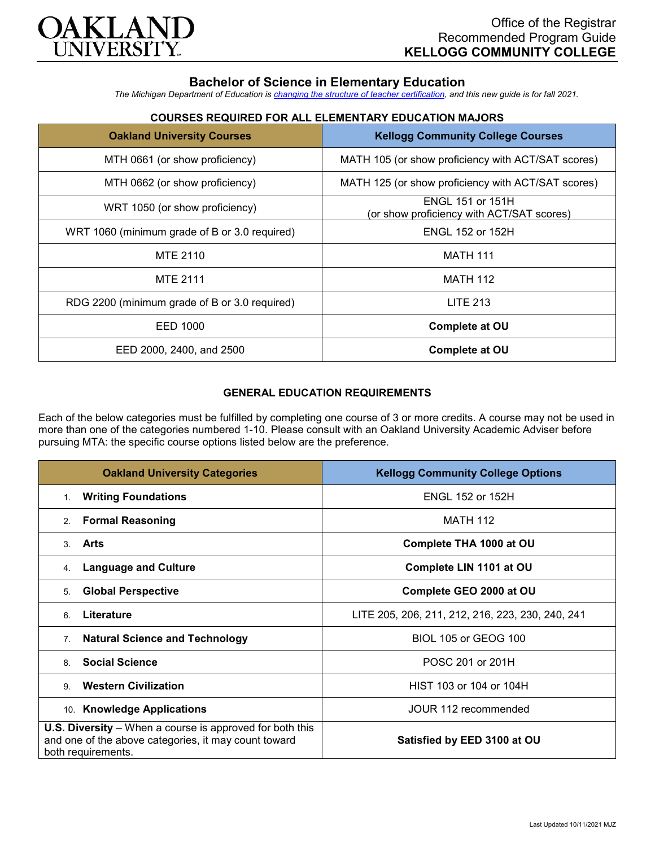

## **Bachelor of Science in Elementary Education**

*The Michigan Department of Education is [changing the structure of teacher certification,](https://docs.google.com/document/d/1W1uUK14Njx6WAB56T4jHbat65OZyg6TS04LdNWMXEcI/edit) and this new guide is for fall 2021.*

| <b>Oakland University Courses</b>             | <b>Kellogg Community College Courses</b>                             |
|-----------------------------------------------|----------------------------------------------------------------------|
| MTH 0661 (or show proficiency)                | MATH 105 (or show proficiency with ACT/SAT scores)                   |
| MTH 0662 (or show proficiency)                | MATH 125 (or show proficiency with ACT/SAT scores)                   |
| WRT 1050 (or show proficiency)                | <b>ENGL 151 or 151H</b><br>(or show proficiency with ACT/SAT scores) |
| WRT 1060 (minimum grade of B or 3.0 required) | <b>ENGL 152 or 152H</b>                                              |
| <b>MTE 2110</b>                               | <b>MATH 111</b>                                                      |
| <b>MTE 2111</b>                               | <b>MATH 112</b>                                                      |
| RDG 2200 (minimum grade of B or 3.0 required) | <b>LITE 213</b>                                                      |
| EED 1000                                      | Complete at OU                                                       |
| EED 2000, 2400, and 2500                      | Complete at OU                                                       |

# **COURSES REQUIRED FOR ALL ELEMENTARY EDUCATION MAJORS**

## **GENERAL EDUCATION REQUIREMENTS**

Each of the below categories must be fulfilled by completing one course of 3 or more credits. A course may not be used in more than one of the categories numbered 1-10. Please consult with an Oakland University Academic Adviser before pursuing MTA: the specific course options listed below are the preference.

| <b>Oakland University Categories</b>                                                                                                          | <b>Kellogg Community College Options</b>         |
|-----------------------------------------------------------------------------------------------------------------------------------------------|--------------------------------------------------|
| <b>Writing Foundations</b><br>1.                                                                                                              | <b>ENGL 152 or 152H</b>                          |
| <b>Formal Reasoning</b><br>2.                                                                                                                 | <b>MATH 112</b>                                  |
| Arts<br>3                                                                                                                                     | Complete THA 1000 at OU                          |
| <b>Language and Culture</b><br>4.                                                                                                             | Complete LIN 1101 at OU                          |
| <b>Global Perspective</b><br>5.                                                                                                               | Complete GEO 2000 at OU                          |
| Literature<br>6                                                                                                                               | LITE 205, 206, 211, 212, 216, 223, 230, 240, 241 |
| <b>Natural Science and Technology</b><br>7.                                                                                                   | <b>BIOL 105 or GEOG 100</b>                      |
| <b>Social Science</b><br>8                                                                                                                    | POSC 201 or 201H                                 |
| <b>Western Civilization</b><br>9                                                                                                              | HIST 103 or 104 or 104H                          |
| 10. Knowledge Applications                                                                                                                    | JOUR 112 recommended                             |
| <b>U.S. Diversity</b> – When a course is approved for both this<br>and one of the above categories, it may count toward<br>both requirements. | Satisfied by EED 3100 at OU                      |